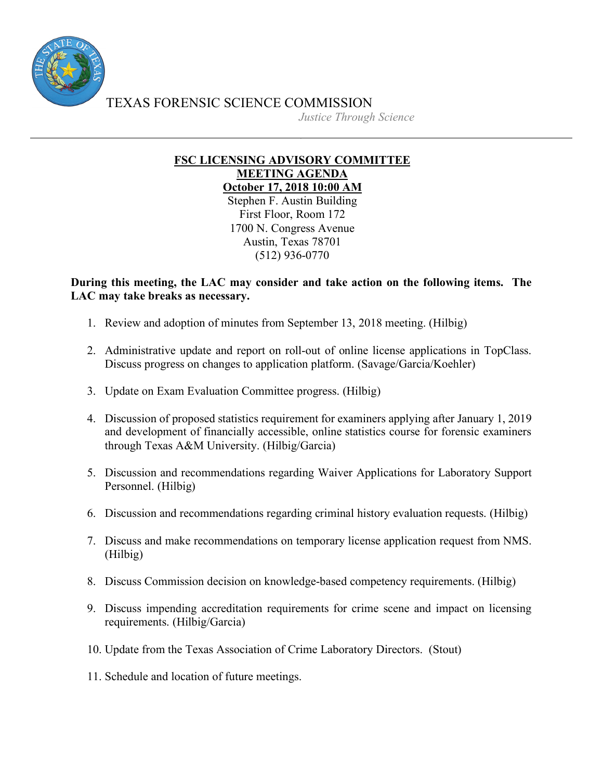

TEXAS FORENSIC SCIENCE COMMISSION

*Justice Through Science*

## **FSC LICENSING ADVISORY COMMITTEE MEETING AGENDA October 17, 2018 10:00 AM**

Stephen F. Austin Building First Floor, Room 172 1700 N. Congress Avenue Austin, Texas 78701 (512) 936-0770

## **During this meeting, the LAC may consider and take action on the following items. The LAC may take breaks as necessary.**

- 1. Review and adoption of minutes from September 13, 2018 meeting. (Hilbig)
- 2. Administrative update and report on roll-out of online license applications in TopClass. Discuss progress on changes to application platform. (Savage/Garcia/Koehler)
- 3. Update on Exam Evaluation Committee progress. (Hilbig)
- 4. Discussion of proposed statistics requirement for examiners applying after January 1, 2019 and development of financially accessible, online statistics course for forensic examiners through Texas A&M University. (Hilbig/Garcia)
- 5. Discussion and recommendations regarding Waiver Applications for Laboratory Support Personnel. (Hilbig)
- 6. Discussion and recommendations regarding criminal history evaluation requests. (Hilbig)
- 7. Discuss and make recommendations on temporary license application request from NMS. (Hilbig)
- 8. Discuss Commission decision on knowledge-based competency requirements. (Hilbig)
- 9. Discuss impending accreditation requirements for crime scene and impact on licensing requirements. (Hilbig/Garcia)
- 10. Update from the Texas Association of Crime Laboratory Directors. (Stout)
- 11. Schedule and location of future meetings.